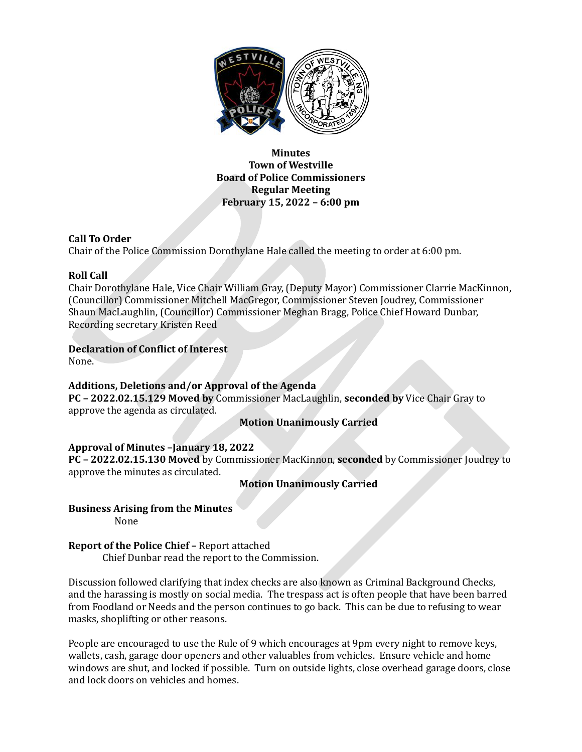

**Minutes Town of Westville Board of Police Commissioners Regular Meeting February 15, 2022 – 6:00 pm**

### **Call To Order**

Chair of the Police Commission Dorothylane Hale called the meeting to order at 6:00 pm.

### **Roll Call**

Chair Dorothylane Hale, Vice Chair William Gray, (Deputy Mayor) Commissioner Clarrie MacKinnon, (Councillor) Commissioner Mitchell MacGregor, Commissioner Steven Joudrey, Commissioner Shaun MacLaughlin, (Councillor) Commissioner Meghan Bragg, Police Chief Howard Dunbar, Recording secretary Kristen Reed

## **Declaration of Conflict of Interest**

None.

### **Additions, Deletions and/or Approval of the Agenda**

**PC – 2022.02.15.129 Moved by** Commissioner MacLaughlin, **seconded by** Vice Chair Gray to approve the agenda as circulated.

### **Motion Unanimously Carried**

# **Approval of Minutes –January 18, 2022**

**PC – 2022.02.15.130 Moved** by Commissioner MacKinnon, **seconded** by Commissioner Joudrey to approve the minutes as circulated.

### **Motion Unanimously Carried**

### **Business Arising from the Minutes**

None

### **Report of the Police Chief –** Report attached

Chief Dunbar read the report to the Commission.

Discussion followed clarifying that index checks are also known as Criminal Background Checks, and the harassing is mostly on social media. The trespass act is often people that have been barred from Foodland or Needs and the person continues to go back. This can be due to refusing to wear masks, shoplifting or other reasons.

People are encouraged to use the Rule of 9 which encourages at 9pm every night to remove keys, wallets, cash, garage door openers and other valuables from vehicles. Ensure vehicle and home windows are shut, and locked if possible. Turn on outside lights, close overhead garage doors, close and lock doors on vehicles and homes.